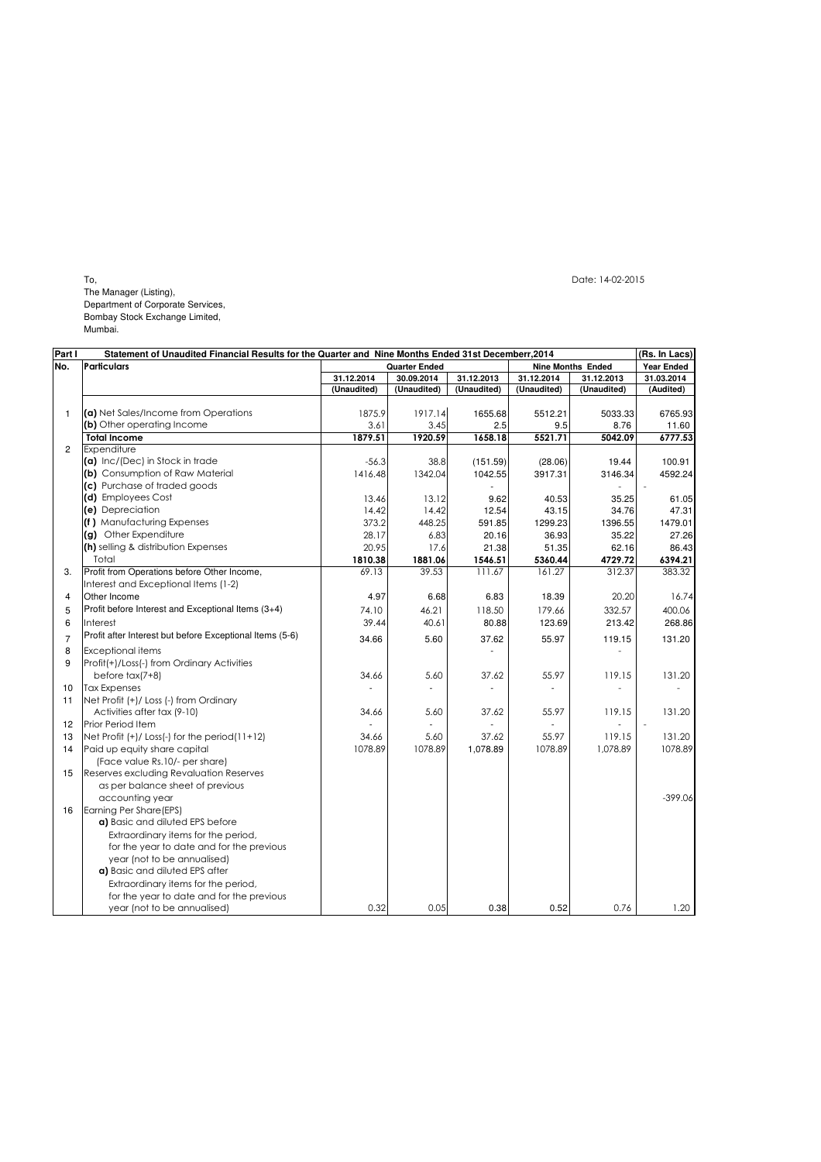To, Date: 14-02-2015

The Manager (Listing), Department of Corporate Services, Bombay Stock Exchange Limited, Mumbai.

| Part I         | Statement of Unaudited Financial Results for the Quarter and Nine Months Ended 31st Decemberr, 2014 |                      |             |             |                          |             | (Rs. In Lacs)     |
|----------------|-----------------------------------------------------------------------------------------------------|----------------------|-------------|-------------|--------------------------|-------------|-------------------|
| No.            | <b>Particulars</b>                                                                                  | <b>Quarter Ended</b> |             |             | <b>Nine Months Ended</b> |             | <b>Year Ended</b> |
|                |                                                                                                     | 31.12.2014           | 30.09.2014  | 31.12.2013  | 31.12.2014               | 31.12.2013  | 31.03.2014        |
|                |                                                                                                     | (Unaudited)          | (Unaudited) | (Unaudited) | (Unaudited)              | (Unaudited) | (Audited)         |
|                |                                                                                                     |                      |             |             |                          |             |                   |
| $\mathbf{1}$   | (a) Net Sales/Income from Operations                                                                | 1875.9               | 1917.14     | 1655.68     | 5512.21                  | 5033.33     | 6765.93           |
|                | (b) Other operating Income                                                                          | 3.61                 | 3.45        | 2.5         | 9.5                      | 8.76        | 11.60             |
|                | <b>Total Income</b>                                                                                 | 1879.51              | 1920.59     | 1658.18     | 5521.71                  | 5042.09     | 6777.53           |
| $\overline{2}$ | Expenditure                                                                                         |                      |             |             |                          |             |                   |
|                | (a) Inc/(Dec) in Stock in trade                                                                     | $-56.3$              | 38.8        | (151.59)    | (28.06)                  | 19.44       | 100.91            |
|                | (b) Consumption of Raw Material                                                                     | 1416.48              | 1342.04     | 1042.55     | 3917.31                  | 3146.34     | 4592.24           |
|                | (c) Purchase of traded goods                                                                        |                      |             |             |                          |             |                   |
|                | (d) Employees Cost                                                                                  | 13.46                | 13.12       | 9.62        | 40.53                    | 35.25       | 61.05             |
|                | (e) Depreciation                                                                                    | 14.42                | 14.42       | 12.54       | 43.15                    | 34.76       | 47.31             |
|                | (f) Manufacturing Expenses                                                                          | 373.2                | 448.25      | 591.85      | 1299.23                  | 1396.55     | 1479.01           |
|                | (g) Other Expenditure                                                                               | 28.17                | 6.83        | 20.16       | 36.93                    | 35.22       | 27.26             |
|                | (h) selling & distribution Expenses                                                                 | 20.95                | 17.6        | 21.38       | 51.35                    | 62.16       | 86.43             |
|                | Total                                                                                               | 1810.38              | 1881.06     | 1546.51     | 5360.44                  | 4729.72     | 6394.21           |
| 3.             | Profit from Operations before Other Income,                                                         | 69.13                | 39.53       | 111.67      | 161.27                   | 312.37      | 383.32            |
|                | Interest and Exceptional Items (1-2)                                                                |                      |             |             |                          |             |                   |
| 4              | Other Income                                                                                        | 4.97                 | 6.68        | 6.83        | 18.39                    | 20.20       | 16.74             |
| 5              | Profit before Interest and Exceptional Items (3+4)                                                  | 74.10                | 46.21       | 118.50      | 179.66                   | 332.57      | 400.06            |
| 6              | Interest                                                                                            | 39.44                | 40.61       | 80.88       | 123.69                   | 213.42      | 268.86            |
| $\overline{7}$ | Profit after Interest but before Exceptional Items (5-6)                                            | 34.66                | 5.60        | 37.62       | 55.97                    | 119.15      | 131.20            |
| 8              | <b>Exceptional items</b>                                                                            |                      |             |             |                          |             |                   |
| 9              | Profit(+)/Loss(-) from Ordinary Activities                                                          |                      |             |             |                          |             |                   |
|                | before $tax(7+8)$                                                                                   | 34.66                | 5.60        | 37.62       | 55.97                    | 119.15      | 131.20            |
| 10             | <b>Tax Expenses</b>                                                                                 |                      |             |             |                          |             |                   |
| 11             | Net Profit (+)/ Loss (-) from Ordinary                                                              |                      |             |             |                          |             |                   |
|                | Activities after tax (9-10)                                                                         | 34.66                | 5.60        | 37.62       | 55.97                    | 119.15      | 131.20            |
| 12             | Prior Period Item                                                                                   |                      |             |             |                          |             |                   |
| 13             | Net Profit $(+)/$ Loss $(-)$ for the period $(11+12)$                                               | 34.66                | 5.60        | 37.62       | 55.97                    | 119.15      | 131.20            |
| 14             | Paid up equity share capital                                                                        | 1078.89              | 1078.89     | 1,078.89    | 1078.89                  | 1,078.89    | 1078.89           |
|                | (Face value Rs.10/- per share)                                                                      |                      |             |             |                          |             |                   |
| 15             | <b>Reserves excluding Revaluation Reserves</b>                                                      |                      |             |             |                          |             |                   |
|                | as per balance sheet of previous                                                                    |                      |             |             |                          |             |                   |
|                | accounting year                                                                                     |                      |             |             |                          |             | $-399.06$         |
| 16             | Earning Per Share(EPS)                                                                              |                      |             |             |                          |             |                   |
|                | a) Basic and diluted EPS before                                                                     |                      |             |             |                          |             |                   |
|                | Extraordinary items for the period,                                                                 |                      |             |             |                          |             |                   |
|                | for the year to date and for the previous                                                           |                      |             |             |                          |             |                   |
|                | year (not to be annualised)                                                                         |                      |             |             |                          |             |                   |
|                | a) Basic and diluted EPS after                                                                      |                      |             |             |                          |             |                   |
|                | Extraordinary items for the period,                                                                 |                      |             |             |                          |             |                   |
|                | for the year to date and for the previous                                                           |                      |             |             |                          |             |                   |
|                | year (not to be annualised)                                                                         | 0.32                 | 0.05        | 0.38        | 0.52                     | 0.76        | 1.20              |